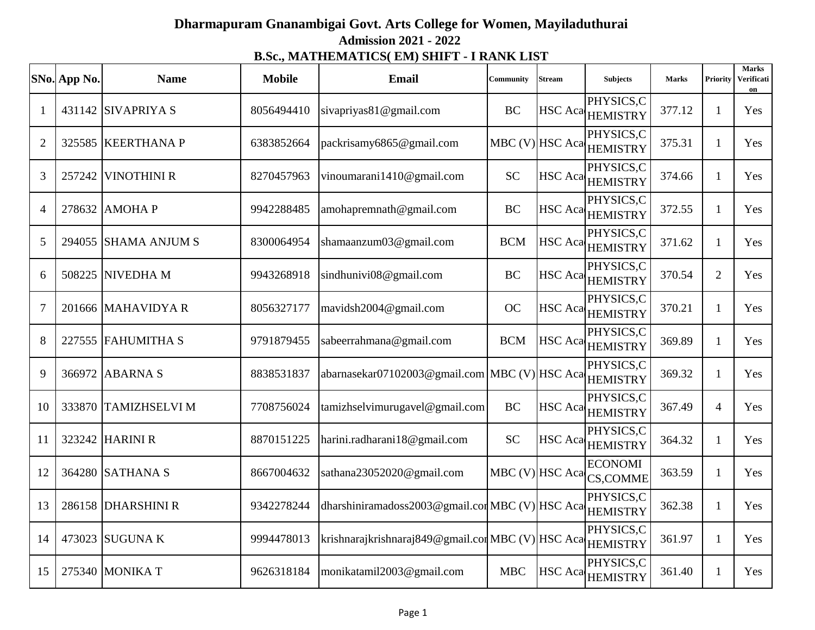## **Dharmapuram Gnanambigai Govt. Arts College for Women, Mayiladuthurai Admission 2021 - 2022 B.Sc., MATHEMATICS( EM) SHIFT - I RANK LIST**

|                | SNo. App No. | <b>Name</b>          | <b>Mobile</b> | <b>Email</b>                                      | Community  | Stream          | <b>Subjects</b>                       | <b>Marks</b> | Priority       | <b>Marks</b><br>Verificati<br>on |
|----------------|--------------|----------------------|---------------|---------------------------------------------------|------------|-----------------|---------------------------------------|--------------|----------------|----------------------------------|
| 1              |              | 431142 SIVAPRIYA S   | 8056494410    | sivapriyas81@gmail.com                            | <b>BC</b>  |                 | PHYSICS,C<br>HSC Aca HEMISTRY         | 377.12       | 1              | Yes                              |
| $\overline{2}$ |              | 325585 KEERTHANA P   | 6383852664    | packrisamy6865@gmail.com                          |            |                 | PHYSICS,C<br>MBC (V) HSC Aca HEMISTRY | 375.31       | $\mathbf{1}$   | Yes                              |
| 3              | 257242       | <b>VINOTHINI R</b>   | 8270457963    | vinoumarani1410@gmail.com                         | <b>SC</b>  | <b>HSC</b> Aca  | PHYSICS,C<br><b>HEMISTRY</b>          | 374.66       | 1              | Yes                              |
| $\overline{4}$ | 278632       | <b>AMOHAP</b>        | 9942288485    | amohapremnath@gmail.com                           | <b>BC</b>  |                 | PHYSICS,C<br>HSC Aca HEMISTRY         | 372.55       | 1              | Yes                              |
| 5              |              | 294055 SHAMA ANJUM S | 8300064954    | shamaanzum03@gmail.com                            | <b>BCM</b> |                 | PHYSICS,C<br>HSC Aca HEMISTRY         | 371.62       | $\mathbf{1}$   | Yes                              |
| 6              |              | 508225 NIVEDHA M     | 9943268918    | sindhunivi08@gmail.com                            | <b>BC</b>  |                 | PHYSICS,C<br>HSC Aca HEMISTRY         | 370.54       | $\overline{2}$ | Yes                              |
| $\overline{7}$ |              | 201666 MAHAVIDYA R   | 8056327177    | mavidsh2004@gmail.com                             | <b>OC</b>  |                 | PHYSICS,C<br>HSC Aca HEMISTRY         | 370.21       | 1              | Yes                              |
| 8              |              | 227555 FAHUMITHA S   | 9791879455    | sabeerrahmana@gmail.com                           | <b>BCM</b> |                 | PHYSICS,C<br>HSC Aca HEMISTRY         | 369.89       | 1              | Yes                              |
| 9              |              | 366972 ABARNA S      | 8838531837    | abarnasekar07102003@gmail.com   MBC (V) HSC Aca   |            |                 | PHYSICS,C<br><b>HEMISTRY</b>          | 369.32       | $\mathbf{1}$   | Yes                              |
| 10             |              | 333870 TAMIZHSELVI M | 7708756024    | tamizhselvimurugavel@gmail.com                    | <b>BC</b>  |                 | PHYSICS,C<br>HSC Aca HEMISTRY         | 367.49       | $\overline{4}$ | Yes                              |
| 11             |              | 323242 HARINI R      | 8870151225    | harini.radharani18@gmail.com                      | <b>SC</b>  |                 | PHYSICS,C<br>HSC Aca HEMISTRY         | 364.32       | 1              | Yes                              |
| 12             |              | 364280 SATHANA S     | 8667004632    | sathana23052020@gmail.com                         |            | MBC (V) HSC Aca | <b>ECONOMI</b><br><b>CS,COMME</b>     | 363.59       | 1              | Yes                              |
| 13             |              | 286158 DHARSHINI R   | 9342278244    | dharshiniramadoss2003@gmail.comMBC (V) HSC Aca    |            |                 | PHYSICS,C<br><b>HEMISTRY</b>          | 362.38       | $\mathbf{1}$   | Yes                              |
| 14             |              | 473023 SUGUNA K      | 9994478013    | krishnarajkrishnaraj849@gmail.cor MBC (V) HSC Aca |            |                 | PHYSICS,C<br><b>HEMISTRY</b>          | 361.97       | $\mathbf{1}$   | Yes                              |
| 15             |              | 275340 MONIKA T      | 9626318184    | monikatamil2003@gmail.com                         | <b>MBC</b> | <b>HSC</b> Aca  | PHYSICS,C<br><b>HEMISTRY</b>          | 361.40       | 1              | Yes                              |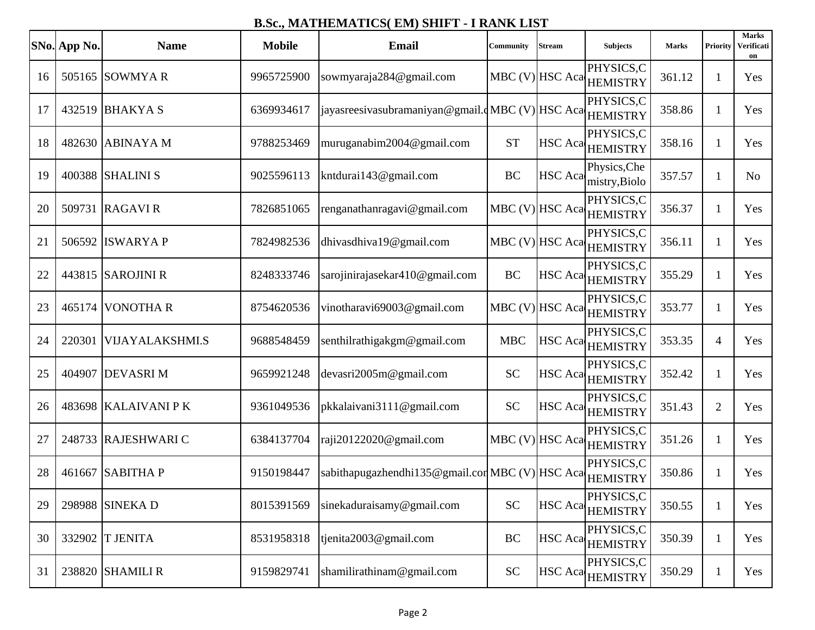|    | SNo. App No. | <b>Name</b>            | <b>Mobile</b> | Email                                                  | <b>Community</b> | Stream         | <b>Subjects</b>                                               | <b>Marks</b> | Priority       | <b>Marks</b><br>Verificati<br>on |
|----|--------------|------------------------|---------------|--------------------------------------------------------|------------------|----------------|---------------------------------------------------------------|--------------|----------------|----------------------------------|
| 16 |              | 505165 SOWMYA R        | 9965725900    | sowmyaraja284@gmail.com                                | MBC (V) HSC Aca  |                | PHYSICS,C<br><b>HEMISTRY</b>                                  | 361.12       | 1              | Yes                              |
| 17 |              | 432519 BHAKYA S        | 6369934617    | iayasreesivasubramaniyan@gmail.dMBC(V) HSCAca HEMISTRY |                  |                | PHYSICS,C                                                     | 358.86       | 1              | Yes                              |
| 18 |              | 482630 ABINAYA M       | 9788253469    | muruganabim2004@gmail.com                              | <b>ST</b>        |                | PHYSICS,C<br>HSC Aca HEMISTRY                                 | 358.16       | 1              | Yes                              |
| 19 |              | 400388 SHALINI S       | 9025596113    | kntdurai143@gmail.com                                  | <b>BC</b>        | <b>HSC</b> Aca | Physics, Che<br>mistry, Biolo                                 | 357.57       | 1              | N <sub>0</sub>                   |
| 20 |              | 509731 RAGAVIR         | 7826851065    | renganathanragavi@gmail.com                            |                  |                | PHYSICS,C<br>$\vert$ MBC (V) $\vert$ HSC Aca $\vert$ HEMISTRY | 356.37       | 1              | Yes                              |
| 21 |              | 506592 ISWARYA P       | 7824982536    | dhivasdhiva19@gmail.com                                |                  |                | PHYSICS,C<br>MBC (V) HSC Aca HEMISTRY                         | 356.11       | 1              | Yes                              |
| 22 |              | 443815 SAROJINI R      | 8248333746    | sarojinirajasekar410@gmail.com                         | <b>BC</b>        | <b>HSC</b> Aca | PHYSICS,C<br><b>HEMISTRY</b>                                  | 355.29       | 1              | Yes                              |
| 23 |              | 465174 VONOTHA R       | 8754620536    | vinotharavi69003@gmail.com                             |                  |                | PHYSICS,C<br>MBC (V) HSC Aca HEMISTRY                         | 353.77       | 1              | Yes                              |
| 24 | 220301       | <b>VIJAYALAKSHMI.S</b> | 9688548459    | senthilrathigakgm@gmail.com                            | <b>MBC</b>       | HSC Aca        | PHYSICS,C<br><b>HEMISTRY</b>                                  | 353.35       | $\overline{4}$ | Yes                              |
| 25 |              | 404907 DEVASRI M       | 9659921248    | devasri2005m@gmail.com                                 | <b>SC</b>        |                | PHYSICS,C<br>HSC Aca HEMISTRY                                 | 352.42       | 1              | Yes                              |
| 26 |              | 483698 KALAIVANI PK    | 9361049536    | pkkalaivani3111@gmail.com                              | <b>SC</b>        |                | PHYSICS,C<br>HSC Aca HEMISTRY                                 | 351.43       | $\overline{2}$ | Yes                              |
| 27 |              | 248733 RAJESHWARI C    | 6384137704    | raji20122020@gmail.com                                 | MBC (V) HSC Aca  |                | PHYSICS,C<br><b>HEMISTRY</b>                                  | 351.26       | 1              | Yes                              |
| 28 |              | 461667 SABITHA P       | 9150198447    | sabithapugazhendhi135@gmail.corMBC (V) HSC Aca         |                  |                | PHYSICS,C<br><b>HEMISTRY</b>                                  | 350.86       | 1              | Yes                              |
| 29 |              | 298988 SINEKA D        | 8015391569    | sinekaduraisamy@gmail.com                              | <b>SC</b>        |                | PHYSICS,C<br>HSC Aca HEMISTRY                                 | 350.55       | $\mathbf{1}$   | Yes                              |
| 30 |              | 332902 T JENITA        | 8531958318    | tjenita2003@gmail.com                                  | BC               |                | PHYSICS,C<br>HSC Aca HEMISTRY                                 | 350.39       | 1              | Yes                              |
| 31 |              | 238820 SHAMILI R       | 9159829741    | shamilirathinam@gmail.com                              | <b>SC</b>        |                | PHYSICS,C<br>HSC Aca HEMISTRY                                 | 350.29       |                | Yes                              |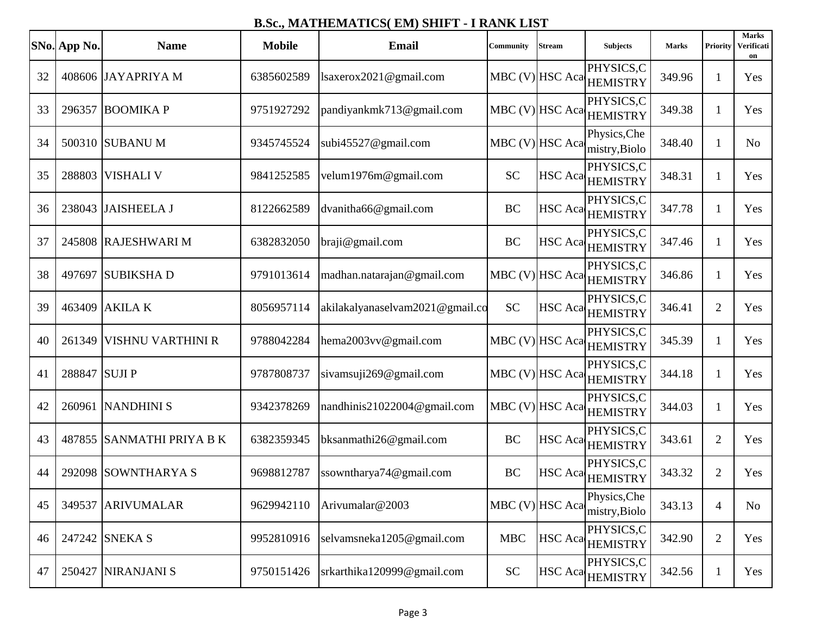|    | SNo. App No.  | <b>Name</b>               | <b>Mobile</b> | Email                           | <b>Community</b>  | Stream            | <b>Subjects</b>                                                                          | <b>Marks</b> | Priority       | <b>Marks</b><br>Verificati<br>on |
|----|---------------|---------------------------|---------------|---------------------------------|-------------------|-------------------|------------------------------------------------------------------------------------------|--------------|----------------|----------------------------------|
| 32 |               | 408606 JAYAPRIYA M        | 6385602589    | lsaxerox2021@gmail.com          | MBC (V) HSC Aca   |                   | PHYSICS,C<br><b>HEMISTRY</b>                                                             | 349.96       | 1              | Yes                              |
| 33 |               | 296357 BOOMIKA P          | 9751927292    | pandiyankmk713@gmail.com        |                   |                   | PHYSICS,C<br>MBC (V) HSC Aca HEMISTRY                                                    | 349.38       | 1              | Yes                              |
| 34 |               | 500310 SUBANU M           | 9345745524    | subi45527@gmail.com             |                   |                   | Physics, Che<br>$\left \text{MBC (V)}\right $ HSC Aca $\left \text{mistry,Biolo}\right $ | 348.40       | 1              | N <sub>o</sub>                   |
| 35 |               | 288803 VISHALI V          | 9841252585    | velum1976m@gmail.com            | <b>SC</b>         |                   | PHYSICS,C<br>HSC Aca HEMISTRY                                                            | 348.31       | 1              | Yes                              |
| 36 |               | 238043 JAISHEELA J        | 8122662589    | dvanitha66@gmail.com            | <b>BC</b>         |                   | PHYSICS,C<br>HSC Aca HEMISTRY                                                            | 347.78       | 1              | Yes                              |
| 37 |               | 245808 RAJESHWARI M       | 6382832050    | braji@gmail.com                 | BC                |                   | PHYSICS,C<br>HSC Aca HEMISTRY                                                            | 347.46       | 1              | Yes                              |
| 38 |               | 497697 SUBIKSHA D         | 9791013614    | madhan.natarajan@gmail.com      |                   | $MBC (V)$ HSC Aca | PHYSICS,C<br><b>HEMISTRY</b>                                                             | 346.86       | 1              | Yes                              |
| 39 |               | 463409 AKILA K            | 8056957114    | akilakalyanaselvam2021@gmail.co | <b>SC</b>         |                   | PHYSICS,C<br>HSC Aca HEMISTRY                                                            | 346.41       | $\overline{2}$ | Yes                              |
| 40 | 261349        | <b>VISHNU VARTHINI R</b>  | 9788042284    | hema2003vv@gmail.com            | MBC (V) HSC Aca   |                   | PHYSICS,C<br><b>HEMISTRY</b>                                                             | 345.39       | 1              | Yes                              |
| 41 | 288847 SUJI P |                           | 9787808737    | sivamsuji269@gmail.com          | $MBC (V)$ HSC Aca |                   | PHYSICS,C<br><b>HEMISTRY</b>                                                             | 344.18       | 1              | Yes                              |
| 42 |               | 260961 NANDHINI S         | 9342378269    | nandhinis21022004@gmail.com     |                   | MBC (V) HSC Aca   | PHYSICS,C<br><b>HEMISTRY</b>                                                             | 344.03       | 1              | Yes                              |
| 43 |               | 487855 SANMATHI PRIYA B K | 6382359345    | bksanmathi26@gmail.com          | <b>BC</b>         |                   | PHYSICS,C<br>HSC Aca HEMISTRY                                                            | 343.61       | $\overline{2}$ | Yes                              |
| 44 |               | 292098 SOWNTHARYA S       | 9698812787    | ssowntharya74@gmail.com         | BC                | HSC Aca           | PHYSICS,C<br><b>HEMISTRY</b>                                                             | 343.32       | $\overline{2}$ | Yes                              |
| 45 |               | 349537 ARIVUMALAR         | 9629942110    | Arivumalar@2003                 | MBC (V) HSC Aca   |                   | Physics, Che<br>mistry, Biolo                                                            | 343.13       | $\overline{4}$ | No                               |
| 46 |               | 247242 SNEKA S            | 9952810916    | selvamsneka1205@gmail.com       | <b>MBC</b>        | HSC Aca           | PHYSICS,C<br><b>HEMISTRY</b>                                                             | 342.90       | $\overline{2}$ | Yes                              |
| 47 |               | 250427 NIRANJANI S        | 9750151426    | srkarthika120999@gmail.com      | <b>SC</b>         |                   | PHYSICS,C<br>HSC Aca HEMISTRY                                                            | 342.56       | 1              | Yes                              |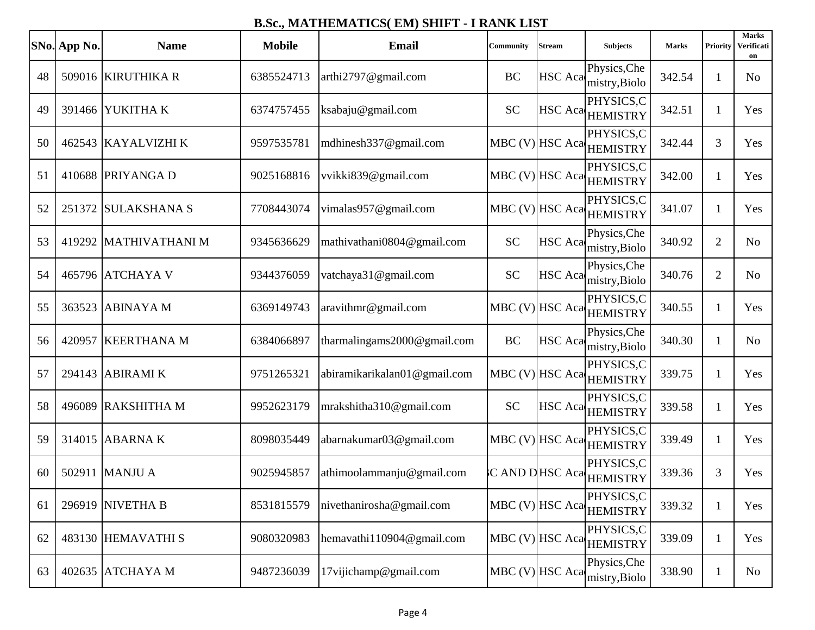|    | SNo. App No. | <b>Name</b>         | <b>Mobile</b> | <b>Email</b>                 | Community       | Stream         | <b>Subjects</b>                                 | <b>Marks</b> | Priority       | <b>Marks</b><br>Verificati<br>on |
|----|--------------|---------------------|---------------|------------------------------|-----------------|----------------|-------------------------------------------------|--------------|----------------|----------------------------------|
| 48 |              | 509016 KIRUTHIKA R  | 6385524713    | arthi2797@gmail.com          | BC              | <b>HSC</b> Aca | Physics, Che<br>mistry, Biolo                   | 342.54       | 1              | N <sub>0</sub>                   |
| 49 |              | 391466 YUKITHA K    | 6374757455    | ksabaju@gmail.com            | <b>SC</b>       |                | PHYSICS,C<br>HSC Aca HEMISTRY                   | 342.51       | 1              | Yes                              |
| 50 |              | 462543 KAYALVIZHI K | 9597535781    | mdhinesh337@gmail.com        |                 |                | PHYSICS,C<br>MBC (V) HSC Aca HEMISTRY           | 342.44       | 3              | Yes                              |
| 51 |              | 410688 PRIYANGA D   | 9025168816    | vvikki839@gmail.com          |                 |                | PHYSICS,C<br>MBC (V) HSC Aca HEMISTRY           | 342.00       | 1              | Yes                              |
| 52 |              | 251372 SULAKSHANA S | 7708443074    | vimalas957@gmail.com         |                 |                | PHYSICS,C<br>MBC (V) HSC Aca HEMISTRY           | 341.07       | 1              | Yes                              |
| 53 | 419292       | MATHIVATHANI M      | 9345636629    | mathivathani0804@gmail.com   | <b>SC</b>       |                | Physics, Che<br>HSC Aca <sub>mistry,Biolo</sub> | 340.92       | $\overline{2}$ | N <sub>o</sub>                   |
| 54 |              | 465796 ATCHAYA V    | 9344376059    | vatchaya31@gmail.com         | <b>SC</b>       | <b>HSC</b> Aca | Physics, Che<br>mistry, Biolo                   | 340.76       | $\overline{2}$ | N <sub>o</sub>                   |
| 55 |              | 363523 ABINAYA M    | 6369149743    | aravithmr@gmail.com          |                 |                | PHYSICS,C<br>MBC (V) HSC Aca HEMISTRY           | 340.55       | 1              | Yes                              |
| 56 | 420957       | <b>KEERTHANA M</b>  | 6384066897    | tharmalingams2000@gmail.com  | <b>BC</b>       | HSC Aca        | Physics, Che<br>mistry, Biolo                   | 340.30       | 1              | N <sub>o</sub>                   |
| 57 |              | 294143 ABIRAMI K    | 9751265321    | abiramikarikalan01@gmail.com | MBC (V) HSC Aca |                | PHYSICS,C<br><b>HEMISTRY</b>                    | 339.75       | 1              | Yes                              |
| 58 |              | 496089 RAKSHITHA M  | 9952623179    | mrakshitha310@gmail.com      | <b>SC</b>       |                | PHYSICS,C<br>HSC Aca HEMISTRY                   | 339.58       | 1              | Yes                              |
| 59 |              | 314015 ABARNA K     | 8098035449    | abarnakumar03@gmail.com      |                 |                | PHYSICS,C<br>MBC (V) HSC Aca HEMISTRY           | 339.49       | 1              | Yes                              |
| 60 |              | 502911 MANJU A      | 9025945857    | athimoolammanju@gmail.com    | C AND DHSC Aca  |                | PHYSICS,C<br><b>HEMISTRY</b>                    | 339.36       | 3              | Yes                              |
| 61 |              | 296919 NIVETHA B    | 8531815579    | nivethanirosha@gmail.com     | MBC (V) HSC Aca |                | PHYSICS,C<br><b>HEMISTRY</b>                    | 339.32       | 1              | Yes                              |
| 62 |              | 483130 HEMAVATHI S  | 9080320983    | hemavathi110904@gmail.com    | MBC (V) HSC Aca |                | PHYSICS,C<br><b>HEMISTRY</b>                    | 339.09       | 1              | Yes                              |
| 63 |              | 402635 ATCHAYA M    | 9487236039    | 17vijichamp@gmail.com        | MBC (V) HSC Aca |                | Physics, Che<br>mistry, Biolo                   | 338.90       |                | No                               |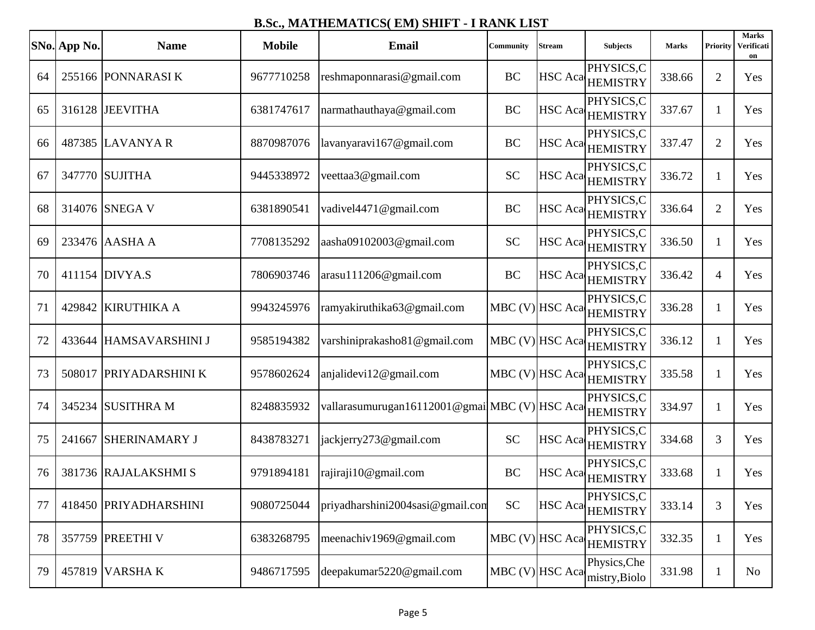|    | SNo. App No. | <b>Name</b>            | <b>Mobile</b> | <b>Email</b>                                  | Community       | Stream | <b>Subjects</b>                          | <b>Marks</b> | <b>Priority</b> | <b>Marks</b><br>Verificati<br>on |
|----|--------------|------------------------|---------------|-----------------------------------------------|-----------------|--------|------------------------------------------|--------------|-----------------|----------------------------------|
| 64 |              | 255166 PONNARASIK      | 9677710258    | reshmaponnarasi@gmail.com                     | <b>BC</b>       |        | PHYSICS,C<br>HSC Aca HEMISTRY            | 338.66       | $\overline{2}$  | Yes                              |
| 65 |              | 316128 JEEVITHA        | 6381747617    | narmathauthaya@gmail.com                      | <b>BC</b>       |        | PHYSICS,C<br>HSC Aca <sub>HEMISTRY</sub> | 337.67       | 1               | Yes                              |
| 66 |              | 487385 LAVANYA R       | 8870987076    | lavanyaravi167@gmail.com                      | <b>BC</b>       |        | PHYSICS,C<br>HSC Aca HEMISTRY            | 337.47       | $\overline{2}$  | Yes                              |
| 67 |              | 347770 SUJITHA         | 9445338972    | veettaa3@gmail.com                            | <b>SC</b>       |        | PHYSICS,C<br>HSC Aca HEMISTRY            | 336.72       | 1               | Yes                              |
| 68 |              | 314076 SNEGA V         | 6381890541    | vadivel4471@gmail.com                         | <b>BC</b>       |        | PHYSICS,C<br>HSC Aca HEMISTRY            | 336.64       | $\overline{2}$  | Yes                              |
| 69 |              | 233476 AASHA A         | 7708135292    | aasha09102003@gmail.com                       | <b>SC</b>       |        | PHYSICS,C<br>HSC Aca HEMISTRY            | 336.50       | 1               | Yes                              |
| 70 |              | 411154 DIVYA.S         | 7806903746    | arasu111206@gmail.com                         | <b>BC</b>       |        | PHYSICS,C<br>HSC Aca HEMISTRY            | 336.42       | $\overline{4}$  | Yes                              |
| 71 |              | 429842 KIRUTHIKA A     | 9943245976    | ramyakiruthika63@gmail.com                    |                 |        | PHYSICS,C<br>MBC (V) HSC Aca HEMISTRY    | 336.28       | 1               | Yes                              |
| 72 | 433644       | <b>HAMSAVARSHINI J</b> | 9585194382    | varshiniprakasho81@gmail.com                  |                 |        | PHYSICS,C<br>MBC (V) HSC Aca HEMISTRY    | 336.12       | 1               | Yes                              |
| 73 |              | 508017 PRIYADARSHINI K | 9578602624    | anjalidevi12@gmail.com                        | MBC (V) HSC Aca |        | PHYSICS,C<br><b>HEMISTRY</b>             | 335.58       | 1               | Yes                              |
| 74 |              | 345234 SUSITHRA M      | 8248835932    | vallarasumurugan16112001@gmailMBC (V) HSC Aca |                 |        | PHYSICS,C<br><b>HEMISTRY</b>             | 334.97       | 1               | Yes                              |
| 75 | 241667       | <b>SHERINAMARY J</b>   | 8438783271    | jackjerry273@gmail.com                        | <b>SC</b>       |        | PHYSICS,C<br>HSC Aca HEMISTRY            | 334.68       | 3               | Yes                              |
| 76 |              | 381736 RAJALAKSHMI S   | 9791894181    | rajiraji10@gmail.com                          | <b>BC</b>       |        | PHYSICS,C<br>HSC Aca HEMISTRY            | 333.68       | 1               | Yes                              |
| 77 |              | 418450 PRIYADHARSHINI  | 9080725044    | priyadharshini2004sasi@gmail.com              | <b>SC</b>       |        | PHYSICS,C<br>HSC Aca HEMISTRY            | 333.14       | 3               | Yes                              |
| 78 |              | 357759 PREETHI V       | 6383268795    | meenachiv1969@gmail.com                       | MBC (V) HSC Aca |        | PHYSICS,C<br><b>HEMISTRY</b>             | 332.35       | $\mathbf{1}$    | Yes                              |
| 79 |              | 457819 VARSHAK         | 9486717595    | deepakumar5220@gmail.com                      | MBC (V) HSC Aca |        | Physics, Che<br>mistry, Biolo            | 331.98       | $\perp$         | No                               |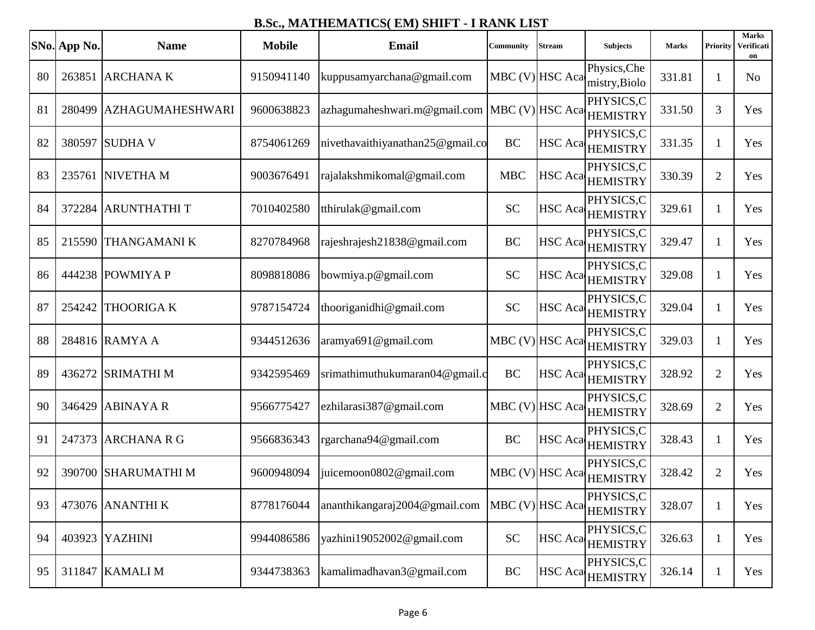|    | SNo. App No. | <b>Name</b>             | <b>Mobile</b> | Email                                                 | Community       | <b>Stream</b>  | <b>Subjects</b>               | <b>Marks</b> | Priority       | <b>Marks</b><br>Verificati<br>on |
|----|--------------|-------------------------|---------------|-------------------------------------------------------|-----------------|----------------|-------------------------------|--------------|----------------|----------------------------------|
| 80 |              | 263851 ARCHANA K        | 9150941140    | kuppusamyarchana@gmail.com                            | MBC (V) HSC Aca |                | Physics, Che<br>mistry, Biolo | 331.81       | 1              | N <sub>o</sub>                   |
| 81 |              | 280499 AZHAGUMAHESHWARI | 9600638823    | azhagumaheshwari.m@gmail.com MBC (V) HSC Aca HEMISTRY |                 |                | PHYSICS,C                     | 331.50       | 3              | Yes                              |
| 82 |              | 380597 SUDHA V          | 8754061269    | nivethavaithiyanathan25@gmail.co                      | <b>BC</b>       |                | PHYSICS,C<br>HSC Aca HEMISTRY | 331.35       | 1              | Yes                              |
| 83 |              | 235761 NIVETHA M        | 9003676491    | rajalakshmikomal@gmail.com                            | <b>MBC</b>      |                | PHYSICS,C<br>HSC Aca HEMISTRY | 330.39       | $\overline{2}$ | Yes                              |
| 84 |              | 372284 ARUNTHATHIT      | 7010402580    | tthirulak@gmail.com                                   | <b>SC</b>       |                | PHYSICS,C<br>HSC Aca HEMISTRY | 329.61       | 1              | Yes                              |
| 85 |              | 215590 THANGAMANIK      | 8270784968    | rajeshrajesh21838@gmail.com                           | BC              |                | PHYSICS,C<br>HSC Aca HEMISTRY | 329.47       | 1              | Yes                              |
| 86 |              | 444238 POWMIYA P        | 8098818086    | bowmiya.p@gmail.com                                   | <b>SC</b>       |                | PHYSICS,C<br>HSC Aca HEMISTRY | 329.08       | 1              | Yes                              |
| 87 |              | 254242 THOORIGA K       | 9787154724    | thooriganidhi@gmail.com                               | <b>SC</b>       |                | PHYSICS,C<br>HSC Aca HEMISTRY | 329.04       | 1              | Yes                              |
| 88 |              | 284816 RAMYA A          | 9344512636    | aramya691@gmail.com                                   | MBC (V) HSC Aca |                | PHYSICS,C<br><b>HEMISTRY</b>  | 329.03       | 1              | Yes                              |
| 89 |              | 436272 SRIMATHI M       | 9342595469    | srimathimuthukumaran04@gmail.c                        | <b>BC</b>       | <b>HSC</b> Aca | PHYSICS,C<br><b>HEMISTRY</b>  | 328.92       | $\overline{2}$ | Yes                              |
| 90 |              | 346429 ABINAYA R        | 9566775427    | ezhilarasi387@gmail.com                               | MBC (V) HSC Aca |                | PHYSICS,C<br><b>HEMISTRY</b>  | 328.69       | $\overline{2}$ | Yes                              |
| 91 | 247373       | <b>ARCHANA R G</b>      | 9566836343    | rgarchana94@gmail.com                                 | BC              |                | PHYSICS.C<br>HSC Aca HEMISTRY | 328.43       | 1              | Yes                              |
| 92 |              | 390700 SHARUMATHI M     | 9600948094    | juicemoon0802@gmail.com                               | MBC (V) HSC Aca |                | PHYSICS,C<br><b>HEMISTRY</b>  | 328.42       | $\overline{2}$ | Yes                              |
| 93 |              | 473076 ANANTHI K        | 8778176044    | ananthikangaraj2004@gmail.com   MBC (V)  HSC Aca      |                 |                | PHYSICS,C<br><b>HEMISTRY</b>  | 328.07       | 1              | Yes                              |
| 94 |              | 403923 YAZHINI          | 9944086586    | yazhini19052002@gmail.com                             | <b>SC</b>       |                | PHYSICS,C<br>HSC Aca HEMISTRY | 326.63       | 1              | Yes                              |
| 95 |              | 311847 KAMALI M         | 9344738363    | kamalimadhavan3@gmail.com                             | <b>BC</b>       |                | PHYSICS,C<br>HSC Aca HEMISTRY | 326.14       | 1              | Yes                              |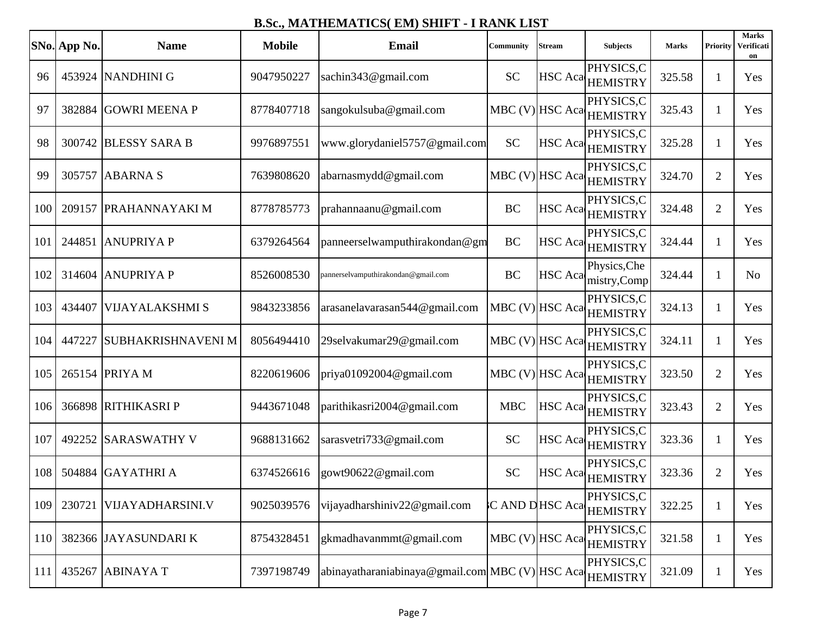|            | SNo. App No. | <b>Name</b>               | <b>Mobile</b> | <b>Email</b>                                             | Community       | <b>Stream</b>  | <b>Subjects</b>                                            | <b>Marks</b> | Priority       | <b>Marks</b><br>Verificati<br>on |
|------------|--------------|---------------------------|---------------|----------------------------------------------------------|-----------------|----------------|------------------------------------------------------------|--------------|----------------|----------------------------------|
| 96         |              | 453924 NANDHINI G         | 9047950227    | sachin343@gmail.com                                      | <b>SC</b>       |                | PHYSICS,C<br>HSC Aca HEMISTRY                              | 325.58       | 1              | Yes                              |
| 97         |              | 382884 GOWRI MEENA P      | 8778407718    | sangokulsuba@gmail.com                                   |                 |                | PHYSICS,C<br>MBC (V) HSC Aca HEMISTRY                      | 325.43       | 1              | Yes                              |
| 98         | 300742       | <b>BLESSY SARA B</b>      | 9976897551    | www.glorydaniel5757@gmail.com                            | <b>SC</b>       |                | PHYSICS,C<br>HSC Aca HEMISTRY                              | 325.28       | 1              | Yes                              |
| 99         |              | 305757 ABARNA S           | 7639808620    | abarnasmydd@gmail.com                                    |                 |                | PHYSICS,C<br>MBC (V) HSC Aca HEMISTRY                      | 324.70       | $\overline{2}$ | Yes                              |
| 100        |              | 209157 PRAHANNAYAKI M     | 8778785773    | prahannaanu@gmail.com                                    | <b>BC</b>       |                | PHYSICS,C<br>HSC Aca HEMISTRY                              | 324.48       | $\overline{2}$ | Yes                              |
| 101        | 244851       | <b>ANUPRIYAP</b>          | 6379264564    | panneerselwamputhirakondan@gm                            | BC              |                | PHYSICS,C<br>HSC Aca HEMISTRY                              | 324.44       | 1              | Yes                              |
| 102        |              | 314604 ANUPRIYA P         | 8526008530    | pannerselvamputhirakondan@gmail.com                      | BC              | <b>HSC</b> Aca | Physics, Che<br>mistry,Comp                                | 324.44       | 1              | N <sub>o</sub>                   |
| 103        | 434407       | <b>VIJAYALAKSHMI S</b>    | 9843233856    | arasanelavarasan544@gmail.com                            |                 |                | PHYSICS,C<br>$\text{MBC (V)}\text{HSC Aca}\text{HEMISTRY}$ | 324.13       | 1              | Yes                              |
| 104        | 447227       | <b>SUBHAKRISHNAVENI M</b> | 8056494410    | 29selvakumar29@gmail.com                                 |                 |                | PHYSICS,C<br>MBC (V) HSC Aca HEMISTRY                      | 324.11       | 1              | Yes                              |
| 105        |              | 265154 PRIYA M            | 8220619606    | priya01092004@gmail.com                                  | MBC (V) HSC Aca |                | PHYSICS,C<br><b>HEMISTRY</b>                               | 323.50       | $\overline{2}$ | Yes                              |
| 106        |              | 366898 RITHIKASRI P       | 9443671048    | parithikasri2004@gmail.com                               | <b>MBC</b>      |                | PHYSICS,C<br>HSC Aca HEMISTRY                              | 323.43       | $\overline{2}$ | Yes                              |
| 107        | 492252       | <b>SARASWATHY V</b>       | 9688131662    | sarasvetri733@gmail.com                                  | <b>SC</b>       |                | PHYSICS,C<br>HSC Aca HEMISTRY                              | 323.36       | 1              | Yes                              |
| 108        |              | 504884 GAYATHRI A         | 6374526616    | gowt90622@gmail.com                                      | <b>SC</b>       |                | PHYSICS,C<br>HSC Aca HEMISTRY                              | 323.36       | $\overline{2}$ | Yes                              |
| 109        | 230721       | VIJAYADHARSINI.V          | 9025039576    | vijayadharshiniv22@gmail.com                             | C AND DHSC Aca  |                | PHYSICS,C<br><b>HEMISTRY</b>                               | 322.25       | 1              | Yes                              |
| 110        |              | 382366 JAYASUNDARI K      | 8754328451    | gkmadhavanmmt@gmail.com                                  | MBC (V) HSC Aca |                | PHYSICS,C<br><b>HEMISTRY</b>                               | 321.58       | $\mathbf{1}$   | Yes                              |
| <b>111</b> |              | 435267 ABINAYA T          | 7397198749    | abinayatharaniabinaya@gmail.com MBC (V) HSC Aca HEMISTRY |                 |                | PHYSICS,C                                                  | 321.09       | 1              | Yes                              |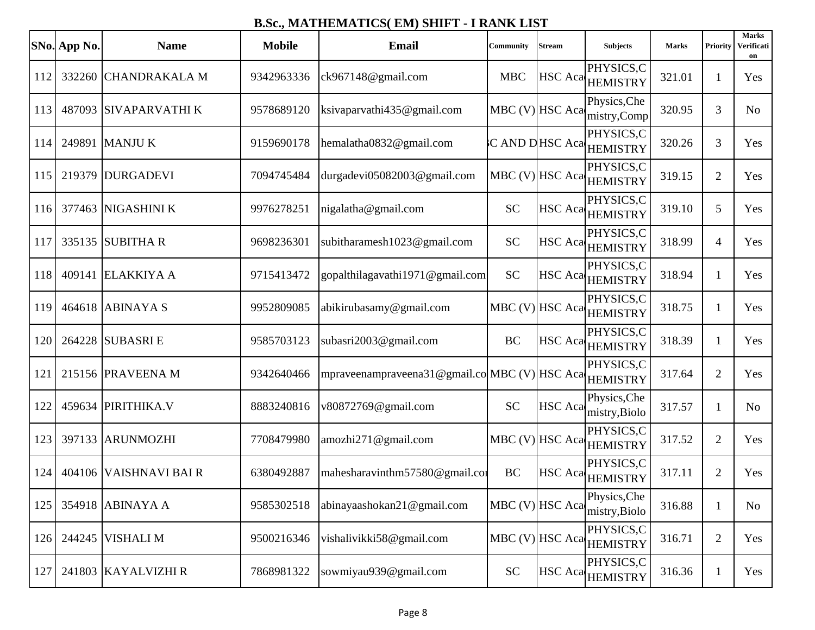|     | SNo. App No. | <b>Name</b>            | <b>Mobile</b> | <b>Email</b>                                   | <b>Community</b>  | Stream          | <b>Subjects</b>                       | <b>Marks</b> | <b>Priority</b> | <b>Marks</b><br>Verificati<br>on |
|-----|--------------|------------------------|---------------|------------------------------------------------|-------------------|-----------------|---------------------------------------|--------------|-----------------|----------------------------------|
| 112 |              | 332260 CHANDRAKALA M   | 9342963336    | ck967148@gmail.com                             | <b>MBC</b>        |                 | PHYSICS,C<br>HSC Aca HEMISTRY         | 321.01       | -1              | Yes                              |
| 113 |              | 487093 SIVAPARVATHI K  | 9578689120    | ksivaparvathi435@gmail.com                     |                   | MBC (V) HSC Aca | Physics, Che<br>mistry, Comp          | 320.95       | 3               | N <sub>o</sub>                   |
| 114 |              | 249891 MANJU K         | 9159690178    | hemalatha0832@gmail.com                        |                   |                 | PHYSICS,C<br>C AND DHSC Aca HEMISTRY  | 320.26       | 3               | Yes                              |
| 115 |              | 219379 DURGADEVI       | 7094745484    | durgadevi05082003@gmail.com                    | $MBC (V)$ HSC Aca |                 | PHYSICS,C<br><b>HEMISTRY</b>          | 319.15       | $\overline{2}$  | Yes                              |
| 116 |              | 377463 NIGASHINI K     | 9976278251    | nigalatha@gmail.com                            | <b>SC</b>         |                 | PHYSICS,C<br>HSC Aca HEMISTRY         | 319.10       | 5               | Yes                              |
| 117 |              | 335135 SUBITHA R       | 9698236301    | subitharamesh1023@gmail.com                    | <b>SC</b>         |                 | PHYSICS.C<br>HSC Aca HEMISTRY         | 318.99       | $\overline{4}$  | Yes                              |
| 118 |              | 409141 ELAKKIYA A      | 9715413472    | gopalthilagavathi1971@gmail.com                | <b>SC</b>         |                 | PHYSICS,C<br>HSC Aca HEMISTRY         | 318.94       | 1               | Yes                              |
| 119 |              | 464618 ABINAYA S       | 9952809085    | abikirubasamy@gmail.com                        |                   |                 | PHYSICS,C<br>MBC (V) HSC Aca HEMISTRY | 318.75       | 1               | Yes                              |
| 120 |              | 264228 SUBASRI E       | 9585703123    | subasri2003@gmail.com                          | <b>BC</b>         |                 | PHYSICS,C<br>HSC Aca HEMISTRY         | 318.39       | 1               | Yes                              |
| 121 |              | 215156 PRAVEENA M      | 9342640466    | mpraveenampraveena31@gmail.com MBC (V) HSC Aca |                   |                 | PHYSICS,C<br><b>HEMISTRY</b>          | 317.64       | $\overline{2}$  | Yes                              |
| 122 |              | 459634 PIRITHIKA.V     | 8883240816    | v80872769@gmail.com                            | <b>SC</b>         | <b>HSC</b> Aca  | Physics, Che<br>mistry, Biolo         | 317.57       | -1              | N <sub>o</sub>                   |
| 123 |              | 397133 ARUNMOZHI       | 7708479980    | amozhi271@gmail.com                            |                   |                 | PHYSICS,C<br>MBC (V) HSC Aca HEMISTRY | 317.52       | $\overline{2}$  | Yes                              |
| 124 |              | 404106 VAISHNAVI BAI R | 6380492887    | mahesharavinthm57580@gmail.com                 | <b>BC</b>         |                 | PHYSICS,C<br>HSC Aca HEMISTRY         | 317.11       | $\overline{2}$  | Yes                              |
| 125 |              | 354918 ABINAYA A       | 9585302518    | abinayaashokan21@gmail.com                     | MBC (V) HSC Aca   |                 | Physics, Che<br>mistry, Biolo         | 316.88       | $\mathbf{1}$    | N <sub>o</sub>                   |
| 126 |              | 244245 VISHALI M       | 9500216346    | vishalivikki58@gmail.com                       |                   | MBC (V) HSC Aca | PHYSICS,C<br><b>HEMISTRY</b>          | 316.71       | $\mathfrak{2}$  | Yes                              |
| 127 |              | 241803 KAYALVIZHI R    | 7868981322    | sowmiyau939@gmail.com                          | <b>SC</b>         |                 | PHYSICS,C<br>HSC Aca HEMISTRY         | 316.36       | -1              | Yes                              |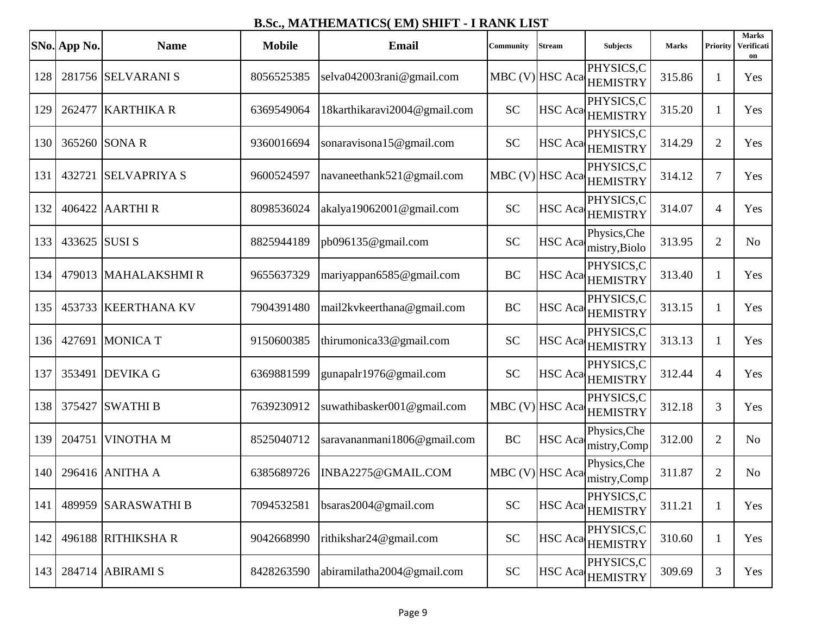|     | SNo. App No.  | <b>Name</b>         | <b>Mobile</b> | <b>Email</b>                 | <b>Community</b> | Stream | <b>Subjects</b>                          | <b>Marks</b> | Priority       | <b>Marks</b><br>Verificati<br>on |
|-----|---------------|---------------------|---------------|------------------------------|------------------|--------|------------------------------------------|--------------|----------------|----------------------------------|
| 128 |               | 281756 SELVARANI S  | 8056525385    | selva042003rani@gmail.com    |                  |        | PHYSICS,C<br>MBC (V) HSC Aca HEMISTRY    | 315.86       | 1              | Yes                              |
| 129 |               | 262477 KARTHIKA R   | 6369549064    | 18karthikaravi2004@gmail.com | <b>SC</b>        |        | PHYSICS.C<br>HSC Aca <sub>HEMISTRY</sub> | 315.20       | $\mathbf{1}$   | Yes                              |
| 130 |               | 365260 SONA R       | 9360016694    | sonaravisona15@gmail.com     | <b>SC</b>        |        | PHYSICS,C<br>HSC Aca HEMISTRY            | 314.29       | $\overline{2}$ | Yes                              |
| 131 |               | 432721 SELVAPRIYA S | 9600524597    | navaneethank521@gmail.com    |                  |        | PHYSICS,C<br>MBC (V) HSC Aca HEMISTRY    | 314.12       | $\overline{7}$ | Yes                              |
| 132 |               | 406422 AARTHIR      | 8098536024    | akalya19062001@gmail.com     | <b>SC</b>        |        | PHYSICS,C<br>HSC Aca <sub>HEMISTRY</sub> | 314.07       | $\overline{4}$ | Yes                              |
| 133 | 433625 SUSI S |                     | 8825944189    | pb096135@gmail.com           | <b>SC</b>        |        | Physics, Che<br>HSC Aca mistry, Biolo    | 313.95       | $\overline{2}$ | N <sub>o</sub>                   |
| 134 |               | 479013 MAHALAKSHMIR | 9655637329    | mariyappan6585@gmail.com     | <b>BC</b>        |        | PHYSICS,C<br>HSC Aca HEMISTRY            | 313.40       | 1              | Yes                              |
| 135 |               | 453733 KEERTHANA KV | 7904391480    | mail2kvkeerthana@gmail.com   | <b>BC</b>        |        | PHYSICS,C<br>HSC Aca HEMISTRY            | 313.15       | $\mathbf{1}$   | Yes                              |
| 136 | 427691        | <b>MONICA T</b>     | 9150600385    | thirumonica33@gmail.com      | <b>SC</b>        |        | PHYSICS,C<br>HSC Aca HEMISTRY            | 313.13       | 1              | Yes                              |
| 137 |               | 353491 DEVIKA G     | 6369881599    | gunapalr1976@gmail.com       | <b>SC</b>        |        | PHYSICS,C<br>HSC Aca HEMISTRY            | 312.44       | $\overline{4}$ | Yes                              |
| 138 |               | 375427 SWATHI B     | 7639230912    | suwathibasker001@gmail.com   |                  |        | PHYSICS,C<br>MBC (V) HSC Aca HEMISTRY    | 312.18       | 3              | Yes                              |
| 139 | 204751        | <b>VINOTHAM</b>     | 8525040712    | saravananmani1806@gmail.com  | <b>BC</b>        |        | Physics, Che<br>HSC Aca mistry, Comp     | 312.00       | $\overline{2}$ | N <sub>o</sub>                   |
| 140 |               | 296416 ANITHA A     | 6385689726    | INBA2275@GMAIL.COM           | MBC (V) HSC Aca  |        | Physics, Che<br>mistry, Comp             | 311.87       | $\overline{2}$ | N <sub>0</sub>                   |
| 141 |               | 489959 SARASWATHI B | 7094532581    | bsaras $2004@$ gmail.com     | <b>SC</b>        |        | PHYSICS,C<br>HSC Aca HEMISTRY            | 311.21       | $\mathbf{1}$   | Yes                              |
| 142 |               | 496188 RITHIKSHA R  | 9042668990    | rithikshar24@gmail.com       | <b>SC</b>        |        | PHYSICS,C<br>HSC Aca HEMISTRY            | 310.60       | $\mathbf{1}$   | Yes                              |
| 143 |               | 284714 ABIRAMI S    | 8428263590    | abiramilatha2004@gmail.com   | <b>SC</b>        |        | PHYSICS,C<br>HSC Aca HEMISTRY            | 309.69       | 3              | Yes                              |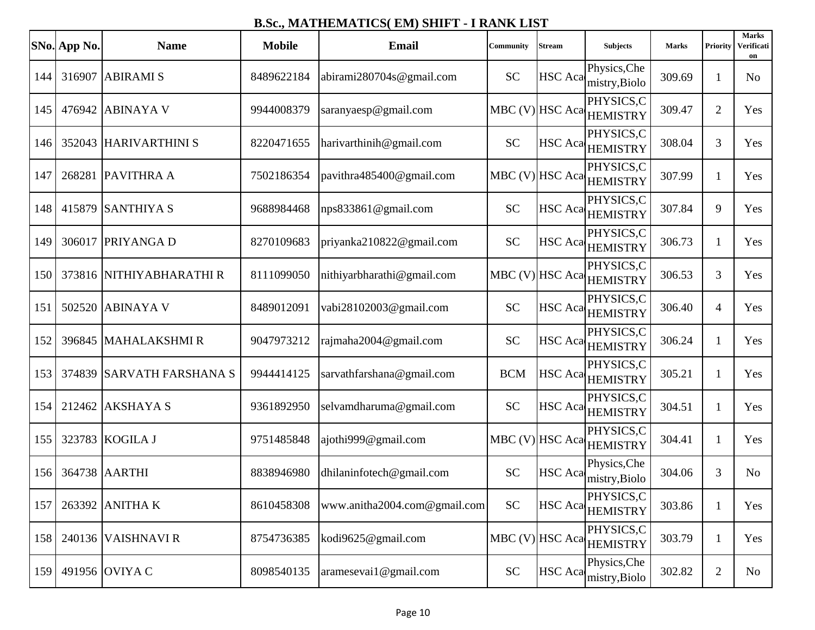|     | SNo. App No. | <b>Name</b>               | <b>Mobile</b> | <b>Email</b>                 | <b>Community</b> | Stream         | <b>Subjects</b>                       | <b>Marks</b> | Priority       | <b>Marks</b><br>Verificati<br>on |
|-----|--------------|---------------------------|---------------|------------------------------|------------------|----------------|---------------------------------------|--------------|----------------|----------------------------------|
| 144 |              | 316907 ABIRAMI S          | 8489622184    | abirami280704s@gmail.com     | <b>SC</b>        | HSC Aca        | Physics, Che<br>mistry, Biolo         | 309.69       | 1              | N <sub>o</sub>                   |
| 145 |              | 476942 ABINAYA V          | 9944008379    | saranyaesp@gmail.com         |                  |                | PHYSICS,C<br>MBC (V) HSC Aca HEMISTRY | 309.47       | $\overline{2}$ | Yes                              |
| 146 |              | 352043 HARIVARTHINI S     | 8220471655    | harivarthinih@gmail.com      | <b>SC</b>        |                | PHYSICS,C<br>HSC Aca HEMISTRY         | 308.04       | 3              | Yes                              |
| 147 |              | 268281 PAVITHRA A         | 7502186354    | pavithra485400@gmail.com     |                  |                | PHYSICS.C<br>MBC (V) HSC Aca HEMISTRY | 307.99       | 1              | Yes                              |
| 148 |              | 415879 SANTHIYA S         | 9688984468    | nps833861@gmail.com          | <b>SC</b>        |                | PHYSICS,C<br>HSC Aca HEMISTRY         | 307.84       | 9              | Yes                              |
| 149 | 306017       | <b>PRIYANGA D</b>         | 8270109683    | priyanka210822@gmail.com     | <b>SC</b>        |                | PHYSICS,C<br>HSC Aca HEMISTRY         | 306.73       | 1              | Yes                              |
| 150 |              | 373816 NITHIYABHARATHI R  | 8111099050    | nithiyarbharathi@gmail.com   | MBC (V) HSC Aca  |                | PHYSICS,C<br><b>HEMISTRY</b>          | 306.53       | 3              | Yes                              |
| 151 |              | 502520 ABINAYA V          | 8489012091    | vabi28102003@gmail.com       | <b>SC</b>        |                | PHYSICS.C<br>HSC Aca HEMISTRY         | 306.40       | $\overline{4}$ | Yes                              |
| 152 | 396845       | <b>MAHALAKSHMIR</b>       | 9047973212    | rajmaha2004@gmail.com        | <b>SC</b>        |                | PHYSICS,C<br>HSC Aca HEMISTRY         | 306.24       | 1              | Yes                              |
| 153 |              | 374839 SARVATH FARSHANA S | 9944414125    | sarvathfarshana@gmail.com    | <b>BCM</b>       |                | PHYSICS,C<br>HSC Aca HEMISTRY         | 305.21       | -1             | Yes                              |
| 154 |              | 212462 AKSHAYA S          | 9361892950    | selvamdharuma@gmail.com      | <b>SC</b>        |                | PHYSICS,C<br>HSC Aca HEMISTRY         | 304.51       | 1              | Yes                              |
| 155 |              | 323783 KOGILA J           | 9751485848    | ajothi999@gmail.com          |                  |                | PHYSICS.C<br>MBC (V) HSC Aca HEMISTRY | 304.41       | 1              | Yes                              |
| 156 |              | 364738 AARTHI             | 8838946980    | dhilaninfotech@gmail.com     | <b>SC</b>        | <b>HSC</b> Aca | Physics, Che<br>mistry, Biolo         | 304.06       | 3              | N <sub>o</sub>                   |
| 157 |              | 263392 ANITHA K           | 8610458308    | www.anitha2004.com@gmail.com | <b>SC</b>        |                | PHYSICS,C<br>HSC Aca HEMISTRY         | 303.86       | $\mathbf{1}$   | Yes                              |
| 158 |              | 240136 VAISHNAVI R        | 8754736385    | kodi9625@gmail.com           |                  |                | PHYSICS,C<br>MBC (V) HSC Aca HEMISTRY | 303.79       | $\mathbf{1}$   | Yes                              |
| 159 |              | 491956 OVIYA C            | 8098540135    | aramesevai1@gmail.com        | <b>SC</b>        | HSC Aca        | Physics, Che<br>mistry, Biolo         | 302.82       | 2              | No                               |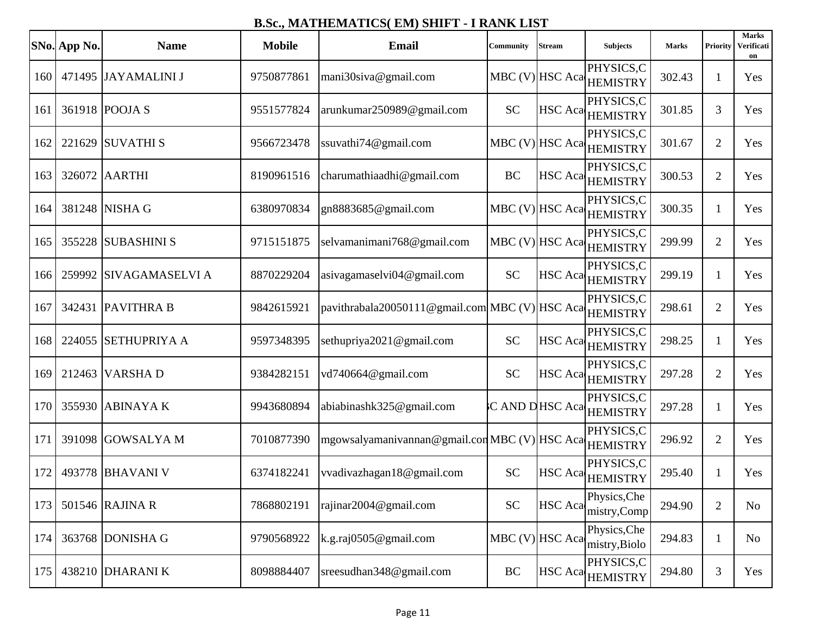|     | SNo. App No. | <b>Name</b>            | <b>Mobile</b> | <b>Email</b>                                            | Community      | Stream          | <b>Subjects</b>                       | <b>Marks</b> | Priority       | <b>Marks</b><br>Verificati<br>on |
|-----|--------------|------------------------|---------------|---------------------------------------------------------|----------------|-----------------|---------------------------------------|--------------|----------------|----------------------------------|
| 160 |              | 471495 JAYAMALINI J    | 9750877861    | mani30siva@gmail.com                                    |                |                 | PHYSICS,C<br>MBC (V) HSC Aca HEMISTRY | 302.43       | 1              | Yes                              |
| 161 |              | 361918 POOJA S         | 9551577824    | arunkumar250989@gmail.com                               | <b>SC</b>      |                 | PHYSICS,C<br>HSC Aca HEMISTRY         | 301.85       | 3              | Yes                              |
| 162 | 221629       | <b>SUVATHIS</b>        | 9566723478    | ssuvathi74@gmail.com                                    |                |                 | PHYSICS,C<br>MBC (V) HSC Aca HEMISTRY | 301.67       | $\overline{2}$ | Yes                              |
| 163 |              | 326072 AARTHI          | 8190961516    | charumathiaadhi@gmail.com                               | BC             |                 | PHYSICS,C<br>HSC Aca HEMISTRY         | 300.53       | $\overline{2}$ | Yes                              |
| 164 |              | 381248 NISHA G         | 6380970834    | gn8883685@gmail.com                                     |                |                 | PHYSICS,C<br>MBC (V) HSC Aca HEMISTRY | 300.35       | $\mathbf{1}$   | Yes                              |
| 165 | 355228       | <b>SUBASHINI S</b>     | 9715151875    | selvamanimani768@gmail.com                              |                |                 | PHYSICS,C<br>MBC (V) HSC Aca HEMISTRY | 299.99       | $\overline{2}$ | Yes                              |
| 166 |              | 259992 SIVAGAMASELVI A | 8870229204    | asivagamaselvi04@gmail.com                              | <b>SC</b>      |                 | PHYSICS,C<br>HSC Aca HEMISTRY         | 299.19       | -1             | Yes                              |
| 167 | 342431       | <b>PAVITHRA B</b>      | 9842615921    | pavithrabala20050111@gmail.com MBC (V) HSC Aca HEMISTRY |                |                 | PHYSICS,C                             | 298.61       | $\overline{2}$ | Yes                              |
| 168 | 224055       | <b>SETHUPRIYA A</b>    | 9597348395    | sethupriya2021@gmail.com                                | <b>SC</b>      |                 | PHYSICS,C<br>HSC Aca HEMISTRY         | 298.25       | $\mathbf{1}$   | Yes                              |
| 169 | 212463       | <b>VARSHAD</b>         | 9384282151    | vd740664@gmail.com                                      | <b>SC</b>      |                 | PHYSICS,C<br>HSC Aca HEMISTRY         | 297.28       | $\overline{2}$ | Yes                              |
| 170 |              | 355930 ABINAYA K       | 9943680894    | abiabinashk325@gmail.com                                | C AND DHSC Aca |                 | PHYSICS,C<br><b>HEMISTRY</b>          | 297.28       | 1              | Yes                              |
| 171 | 391098       | <b>GOWSALYAM</b>       | 7010877390    | mgowsalyamanivannan@gmail.comMBC(V)HSCAca               |                |                 | PHYSICS,C                             | 296.92       | $\overline{2}$ | Yes                              |
| 172 |              | 493778 BHAVANI V       | 6374182241    | vvadivazhagan18@gmail.com                               | <b>SC</b>      |                 | PHYSICS,C<br>HSC Aca HEMISTRY         | 295.40       | 1              | Yes                              |
| 173 |              | 501546 RAJINA R        | 7868802191    | rajinar2004@gmail.com                                   | <b>SC</b>      | <b>HSC</b> Aca  | Physics, Che<br>mistry,Comp           | 294.90       | $\overline{2}$ | No                               |
| 174 |              | 363768 DONISHA G       | 9790568922    | k.g.raj0505@gmail.com                                   |                | MBC (V) HSC Aca | Physics, Che<br>mistry, Biolo         | 294.83       | $\mathbf{1}$   | N <sub>0</sub>                   |
| 175 |              | 438210 DHARANI K       | 8098884407    | sreesudhan348@gmail.com                                 | BC             |                 | PHYSICS,C<br>HSC Aca HEMISTRY         | 294.80       | 3              | Yes                              |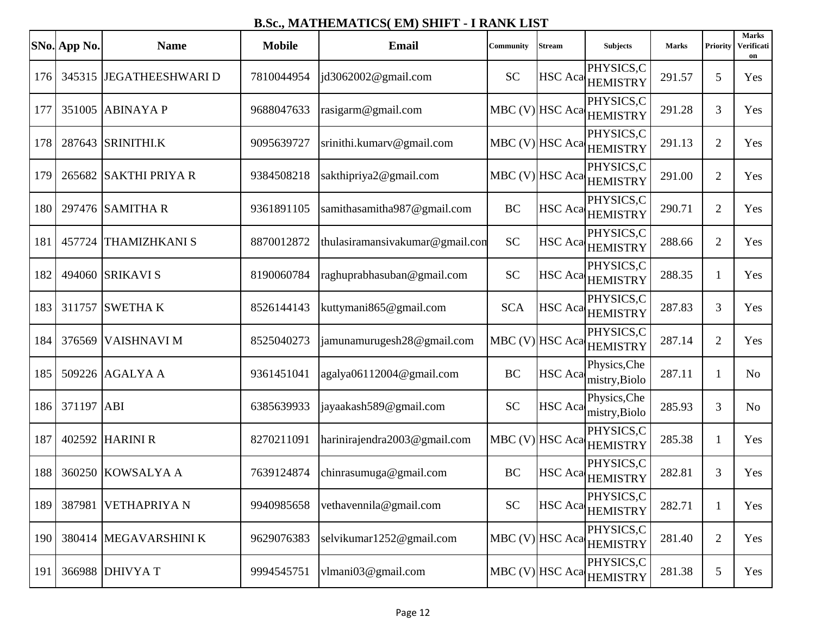|     | SNo. App No. | <b>Name</b>             | <b>Mobile</b> | Email                           | Community  | Stream         | <b>Subjects</b>                          | <b>Marks</b> | Priority       | <b>Marks</b><br>Verificati<br>on |
|-----|--------------|-------------------------|---------------|---------------------------------|------------|----------------|------------------------------------------|--------------|----------------|----------------------------------|
| 176 |              | 345315 JEGATHEESHWARI D | 7810044954    | jd3062002@gmail.com             | <b>SC</b>  |                | PHYSICS,C<br>HSC Aca HEMISTRY            | 291.57       | 5              | Yes                              |
| 177 |              | 351005 ABINAYA P        | 9688047633    | rasigarm@gmail.com              |            |                | PHYSICS,C<br>MBC (V) HSC Aca HEMISTRY    | 291.28       | 3              | Yes                              |
| 178 |              | 287643 SRINITHLK        | 9095639727    | srinithi.kumarv@gmail.com       |            |                | PHYSICS,C<br>MBC (V) HSC Aca HEMISTRY    | 291.13       | $\overline{2}$ | Yes                              |
| 179 |              | 265682 SAKTHI PRIYA R   | 9384508218    | sakthipriya2@gmail.com          |            |                | PHYSICS,C<br>MBC (V) HSC Aca HEMISTRY    | 291.00       | $\overline{2}$ | Yes                              |
| 180 |              | 297476 SAMITHA R        | 9361891105    | samithasamitha987@gmail.com     | <b>BC</b>  |                | PHYSICS,C<br>HSC Aca HEMISTRY            | 290.71       | $\overline{2}$ | Yes                              |
| 181 | 457724       | <b>THAMIZHKANI S</b>    | 8870012872    | thulasiramansivakumar@gmail.com | <b>SC</b>  |                | PHYSICS,C<br>HSC Aca HEMISTRY            | 288.66       | $\overline{2}$ | Yes                              |
| 182 |              | 494060 SRIKAVI S        | 8190060784    | raghuprabhasuban@gmail.com      | <b>SC</b>  |                | PHYSICS,C<br>HSC Aca HEMISTRY            | 288.35       | 1              | Yes                              |
| 183 |              | 311757 SWETHA K         | 8526144143    | kuttymani865@gmail.com          | <b>SCA</b> |                | PHYSICS,C<br>HSC Aca <sub>HEMISTRY</sub> | 287.83       | 3              | Yes                              |
| 184 | 376569       | <b>VAISHNAVI M</b>      | 8525040273    | jamunamurugesh28@gmail.com      |            |                | PHYSICS,C<br>MBC (V) HSC Aca HEMISTRY    | 287.14       | $\overline{2}$ | Yes                              |
| 185 |              | 509226 AGALYA A         | 9361451041    | agalya06112004@gmail.com        | <b>BC</b>  | <b>HSC</b> Aca | Physics, Che<br>mistry, Biolo            | 287.11       | -1             | N <sub>0</sub>                   |
| 186 | 371197 ABI   |                         | 6385639933    | jayaakash589@gmail.com          | <b>SC</b>  | <b>HSC</b> Aca | Physics, Che<br>mistry, Biolo            | 285.93       | 3              | N <sub>o</sub>                   |
| 187 |              | 402592 HARINI R         | 8270211091    | harinirajendra2003@gmail.com    |            |                | PHYSICS,C<br>MBC (V) HSC Aca HEMISTRY    | 285.38       | -1             | Yes                              |
| 188 |              | 360250 KOWSALYA A       | 7639124874    | chinrasumuga@gmail.com          | <b>BC</b>  |                | PHYSICS,C<br>HSC Aca HEMISTRY            | 282.81       | 3              | Yes                              |
| 189 |              | 387981 VETHAPRIYA N     | 9940985658    | vethavennila@gmail.com          | <b>SC</b>  |                | PHYSICS,C<br>HSC Aca HEMISTRY            | 282.71       | 1              | Yes                              |
| 190 |              | 380414 MEGAVARSHINI K   | 9629076383    | selvikumar1252@gmail.com        |            |                | PHYSICS,C<br>MBC (V) HSC Aca HEMISTRY    | 281.40       | $\overline{2}$ | Yes                              |
| 191 |              | 366988 DHIVYA T         | 9994545751    | vlmani03@gmail.com              |            |                | PHYSICS,C<br>MBC (V) HSC Aca HEMISTRY    | 281.38       | 5              | Yes                              |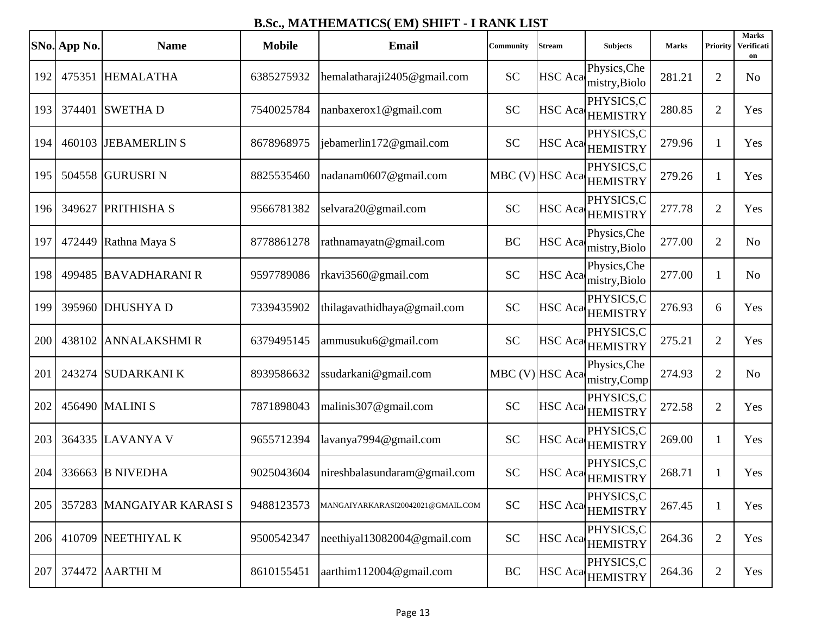|     | SNo. App No. | <b>Name</b>               | <b>Mobile</b> | <b>Email</b>                      | Community       | Stream         | <b>Subjects</b>                          | <b>Marks</b> | Priority       | <b>Marks</b><br>Verificati<br>on |
|-----|--------------|---------------------------|---------------|-----------------------------------|-----------------|----------------|------------------------------------------|--------------|----------------|----------------------------------|
| 192 | 475351       | <b>HEMALATHA</b>          | 6385275932    | hemalatharaji2405@gmail.com       | <b>SC</b>       |                | Physics, Che<br>HSC Aca mistry, Biolo    | 281.21       | $\overline{2}$ | N <sub>0</sub>                   |
| 193 | 374401       | <b>SWETHAD</b>            | 7540025784    | nanbaxerox1@gmail.com             | <b>SC</b>       |                | PHYSICS,C<br>HSC Aca <sub>HEMISTRY</sub> | 280.85       | $\overline{2}$ | Yes                              |
| 194 | 460103       | <b>JEBAMERLIN S</b>       | 8678968975    | jebamerlin172@gmail.com           | <b>SC</b>       |                | PHYSICS,C<br>HSC Aca HEMISTRY            | 279.96       | 1              | Yes                              |
| 195 |              | 504558 GURUSRI N          | 8825535460    | nadanam0607@gmail.com             |                 |                | PHYSICS,C<br>MBC (V) HSC Aca HEMISTRY    | 279.26       | 1              | Yes                              |
| 196 | 349627       | <b>PRITHISHA S</b>        | 9566781382    | selvara20@gmail.com               | <b>SC</b>       |                | PHYSICS,C<br>HSC Aca HEMISTRY            | 277.78       | $\overline{2}$ | Yes                              |
| 197 | 472449       | Rathna Maya S             | 8778861278    | rathnamayatn@gmail.com            | BC              |                | Physics, Che<br>HSC Aca mistry, Biolo    | 277.00       | $\overline{2}$ | N <sub>o</sub>                   |
| 198 |              | 499485 BAVADHARANI R      | 9597789086    | rkavi3560@gmail.com               | <b>SC</b>       | <b>HSC</b> Aca | Physics, Che<br>mistry, Biolo            | 277.00       | -1             | N <sub>o</sub>                   |
| 199 |              | 395960 DHUSHYA D          | 7339435902    | thilagavathidhaya@gmail.com       | <b>SC</b>       |                | PHYSICS,C<br>HSC Aca <sub>HEMISTRY</sub> | 276.93       | 6              | Yes                              |
| 200 | 438102       | <b>ANNALAKSHMI R</b>      | 6379495145    | ammusuku6@gmail.com               | <b>SC</b>       |                | PHYSICS,C<br>HSC Aca HEMISTRY            | 275.21       | $\overline{2}$ | Yes                              |
| 201 | 243274       | <b>SUDARKANI K</b>        | 8939586632    | ssudarkani@gmail.com              | MBC (V) HSC Aca |                | Physics, Che<br>mistry,Comp              | 274.93       | $\overline{2}$ | N <sub>0</sub>                   |
| 202 |              | 456490 MALINI S           | 7871898043    | malinis307@gmail.com              | <b>SC</b>       |                | PHYSICS,C<br>HSC Aca HEMISTRY            | 272.58       | $\overline{2}$ | Yes                              |
| 203 |              | 364335 LAVANYA V          | 9655712394    | lavanya7994@gmail.com             | <b>SC</b>       |                | PHYSICS,C<br>HSC Aca HEMISTRY            | 269.00       | 1              | Yes                              |
| 204 | 336663       | <b>B NIVEDHA</b>          | 9025043604    | nireshbalasundaram@gmail.com      | <b>SC</b>       | <b>HSC</b> Aca | PHYSICS,C<br><b>HEMISTRY</b>             | 268.71       | -1             | Yes                              |
| 205 |              | 357283 MANGAIYAR KARASI S | 9488123573    | MANGAIYARKARASI20042021@GMAIL.COM | <b>SC</b>       |                | PHYSICS,C<br>HSC Aca HEMISTRY            | 267.45       | 1              | Yes                              |
| 206 |              | 410709 NEETHIYAL K        | 9500542347    | neethiyal13082004@gmail.com       | <b>SC</b>       |                | PHYSICS,C<br>HSC Aca HEMISTRY            | 264.36       | $\overline{2}$ | Yes                              |
| 207 |              | 374472 AARTHI M           | 8610155451    | aarthim112004@gmail.com           | BC              |                | PHYSICS,C<br>HSC Aca HEMISTRY            | 264.36       | 2              | Yes                              |